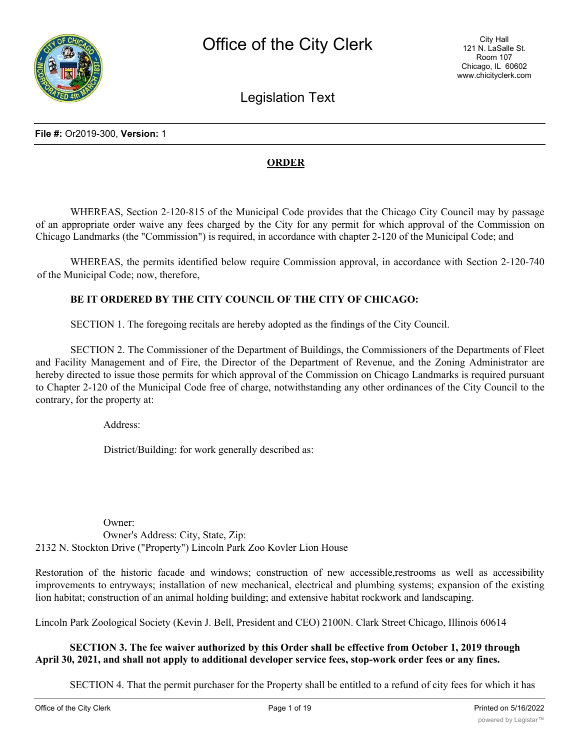

Legislation Text

#### **ORDER**

WHEREAS, Section 2-120-815 of the Municipal Code provides that the Chicago City Council may by passage of an appropriate order waive any fees charged by the City for any permit for which approval of the Commission on Chicago Landmarks (the "Commission") is required, in accordance with chapter 2-120 of the Municipal Code; and

WHEREAS, the permits identified below require Commission approval, in accordance with Section 2-120-740 of the Municipal Code; now, therefore,

#### **BE IT ORDERED BY THE CITY COUNCIL OF THE CITY OF CHICAGO:**

SECTION 1. The foregoing recitals are hereby adopted as the findings of the City Council.

SECTION 2. The Commissioner of the Department of Buildings, the Commissioners of the Departments of Fleet and Facility Management and of Fire, the Director of the Department of Revenue, and the Zoning Administrator are hereby directed to issue those permits for which approval of the Commission on Chicago Landmarks is required pursuant to Chapter 2-120 of the Municipal Code free of charge, notwithstanding any other ordinances of the City Council to the contrary, for the property at:

Address:

District/Building: for work generally described as:

Owner: Owner's Address: City, State, Zip: 2132 N. Stockton Drive ("Property") Lincoln Park Zoo Kovler Lion House

Restoration of the historic facade and windows; construction of new accessible,restrooms as well as accessibility improvements to entryways; installation of new mechanical, electrical and plumbing systems; expansion of the existing lion habitat; construction of an animal holding building; and extensive habitat rockwork and landscaping.

Lincoln Park Zoological Society (Kevin J. Bell, President and CEO) 2100N. Clark Street Chicago, Illinois 60614

#### **SECTION 3. The fee waiver authorized by this Order shall be effective from October 1, 2019 through April 30, 2021, and shall not apply to additional developer service fees, stop-work order fees or any fines.**

SECTION 4. That the permit purchaser for the Property shall be entitled to a refund of city fees for which it has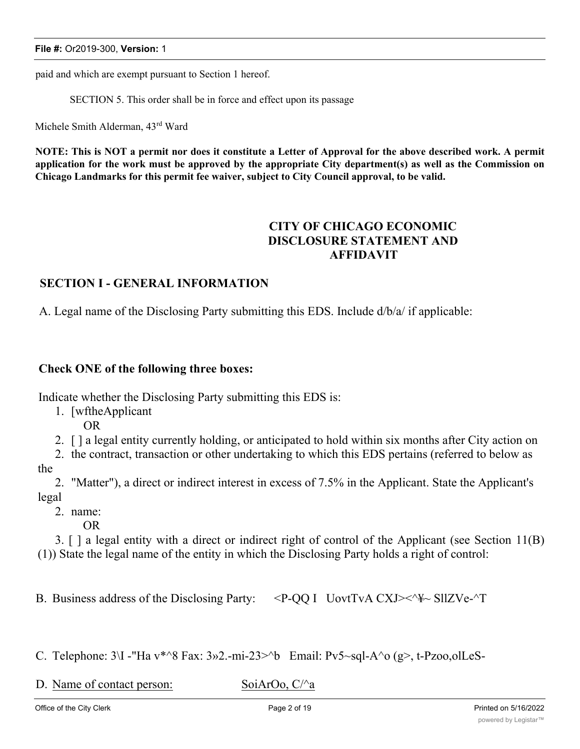paid and which are exempt pursuant to Section 1 hereof.

SECTION 5. This order shall be in force and effect upon its passage

Michele Smith Alderman, 43rd Ward

NOTE: This is NOT a permit nor does it constitute a Letter of Approval for the above described work. A permit application for the work must be approved by the appropriate City department(s) as well as the Commission on **Chicago Landmarks for this permit fee waiver, subject to City Council approval, to be valid.**

# **CITY OF CHICAGO ECONOMIC DISCLOSURE STATEMENT AND AFFIDAVIT**

#### **SECTION I - GENERAL INFORMATION**

A. Legal name of the Disclosing Party submitting this EDS. Include d/b/a/ if applicable:

#### **Check ONE of the following three boxes:**

Indicate whether the Disclosing Party submitting this EDS is:

- 1. [wftheApplicant
	- OR
- 2. [ ] a legal entity currently holding, or anticipated to hold within six months after City action on

2. the contract, transaction or other undertaking to which this EDS pertains (referred to below as

the

2. "Matter"), a direct or indirect interest in excess of 7.5% in the Applicant. State the Applicant's legal

- 2. name:
	- OR

3. [ ] a legal entity with a direct or indirect right of control of the Applicant (see Section 11(B) (1)) State the legal name of the entity in which the Disclosing Party holds a right of control:

B. Business address of the Disclosing Party:  $\langle P-QQ|I \rangle$  UovtTvA CXJ $\langle \rangle \langle \rangle$  SllZVe- $\gamma$ T

C. Telephone:  $3\Upsilon$  -"Ha v\*^8 Fax:  $3\omega$ 2.-mi-23>^b Email: Pv5~sql-A^o (g>, t-Pzoo,olLeS-

D. Name of contact person: SoiArOo, C/ $\alpha$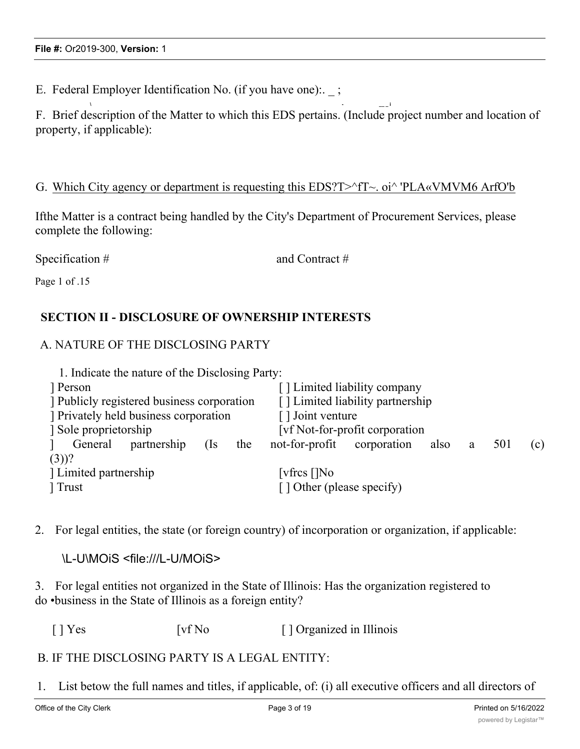E. Federal Employer Identification No. (if you have one):  $\cdot$ ;

**\ - \_\_ \_ i** F. Brief description of the Matter to which this EDS pertains. (Include project number and location of property, if applicable):

#### G. Which City agency or department is requesting this  $EDS$ ?T $\geq$ ^fT $\sim$ . oi $\land$  'PLA«VMVM6 ArfO'b

Ifthe Matter is a contract being handled by the City's Department of Procurement Services, please complete the following:

Specification # and Contract # Page 1 of .15

### **SECTION II - DISCLOSURE OF OWNERSHIP INTERESTS**

### A. NATURE OF THE DISCLOSING PARTY

| [] Limited liability company                          |  |
|-------------------------------------------------------|--|
| [] Limited liability partnership                      |  |
| [] Joint venture                                      |  |
| [vf Not-for-profit corporation]                       |  |
| not-for-profit corporation<br>501<br>also<br>a<br>(c) |  |
|                                                       |  |
| [vfres []No                                           |  |
| [] Other (please specify)                             |  |
|                                                       |  |

2. For legal entities, the state (or foreign country) of incorporation or organization, if applicable:

\L-U\MOiS <file:///L-U/MOiS>

3. For legal entities not organized in the State of Illinois: Has the organization registered to do •business in the State of Illinois as a foreign entity?

[ ] Yes [vf No [ ] Organized in Illinois

### B. IF THE DISCLOSING PARTY IS A LEGAL ENTITY:

1. List betow the full names and titles, if applicable, of: (i) all executive officers and all directors of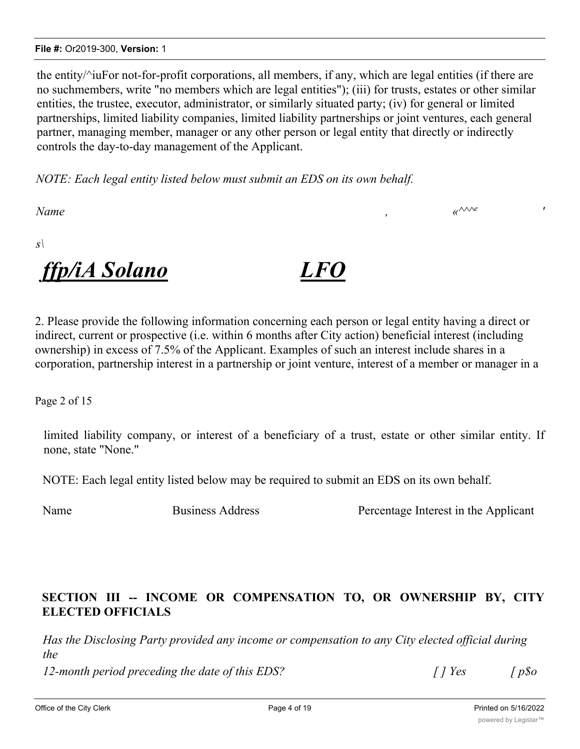#### **File #:** Or2019-300, **Version:** 1

the entity/^iuFor not-for-profit corporations, all members, if any, which are legal entities (if there are no suchmembers, write "no members which are legal entities"); (iii) for trusts, estates or other similar entities, the trustee, executor, administrator, or similarly situated party; (iv) for general or limited partnerships, limited liability companies, limited liability partnerships or joint ventures, each general partner, managing member, manager or any other person or legal entity that directly or indirectly controls the day-to-day management of the Applicant.

*NOTE: Each legal entity listed below must submit an EDS on its own behalf.*

*Name , «^^^e '*

*s\*



2. Please provide the following information concerning each person or legal entity having a direct or indirect, current or prospective (i.e. within 6 months after City action) beneficial interest (including ownership) in excess of 7.5% of the Applicant. Examples of such an interest include shares in a corporation, partnership interest in a partnership or joint venture, interest of a member or manager in a

Page 2 of 15

limited liability company, or interest of a beneficiary of a trust, estate or other similar entity. If none, state "None."

NOTE: Each legal entity listed below may be required to submit an EDS on its own behalf.

Name Business Address Percentage Interest in the Applicant

# **SECTION III -- INCOME OR COMPENSATION TO, OR OWNERSHIP BY, CITY ELECTED OFFICIALS**

*Has the Disclosing Party provided any income or compensation to any City elected official during the*

*12-month period preceding the date of this EDS? [ ] Yes [ p\$o*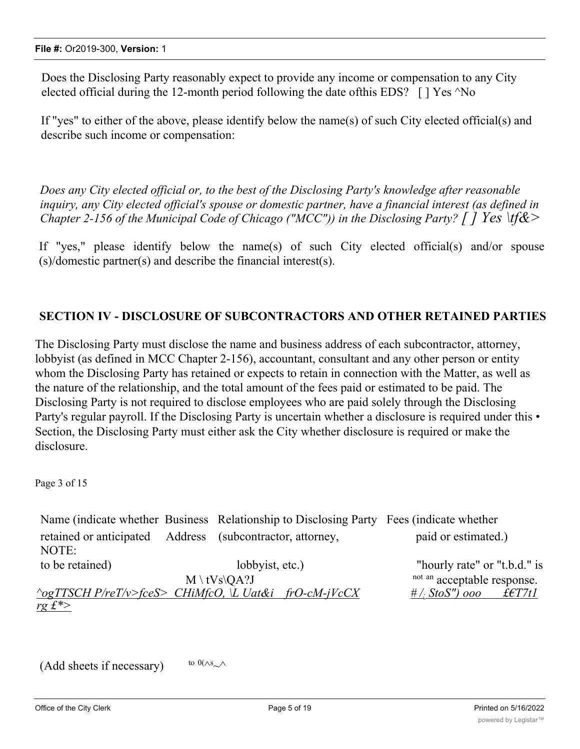Does the Disclosing Party reasonably expect to provide any income or compensation to any City elected official during the 12-month period following the date of this EDS?  $\lceil \cdot \rceil$  Yes  $\land$  No

If "yes" to either of the above, please identify below the name(s) of such City elected official(s) and describe such income or compensation:

*Does any City elected official or, to the best of the Disclosing Party's knowledge after reasonable inquiry, any City elected official's spouse or domestic partner, have a financial interest (as defined in Chapter 2-156 of the Municipal Code of Chicago ("MCC")) in the Disclosing Party? [ ] Yes \tf&>*

If "yes," please identify below the name(s) of such City elected official(s) and/or spouse (s)/domestic partner(s) and describe the financial interest(s).

### **SECTION IV - DISCLOSURE OF SUBCONTRACTORS AND OTHER RETAINED PARTIES**

The Disclosing Party must disclose the name and business address of each subcontractor, attorney, lobbyist (as defined in MCC Chapter 2-156), accountant, consultant and any other person or entity whom the Disclosing Party has retained or expects to retain in connection with the Matter, as well as the nature of the relationship, and the total amount of the fees paid or estimated to be paid. The Disclosing Party is not required to disclose employees who are paid solely through the Disclosing Party's regular payroll. If the Disclosing Party is uncertain whether a disclosure is required under this • Section, the Disclosing Party must either ask the City whether disclosure is required or make the disclosure.

Page 3 of 15

Name (indicate whether Business Relationship to Disclosing Party Fees (indicate whether retained or anticipated Address (subcontractor, attorney, paid or estimated.) NOTE: to be retained) lobbyist, etc.) "hourly rate" or "t.b.d." is  $M \setminus tVs \setminus OA$ ? not an acceptable response. *^ogTTSCH P/reT/v>fceS> CHiMfcO, \L Uat&i frO-cM-jVcCX # /; StoS") ooo £€T7t1 rg £\*>*

 $(Add sheets if necessary)$ to  $0(\wedge s_{\sim} \wedge$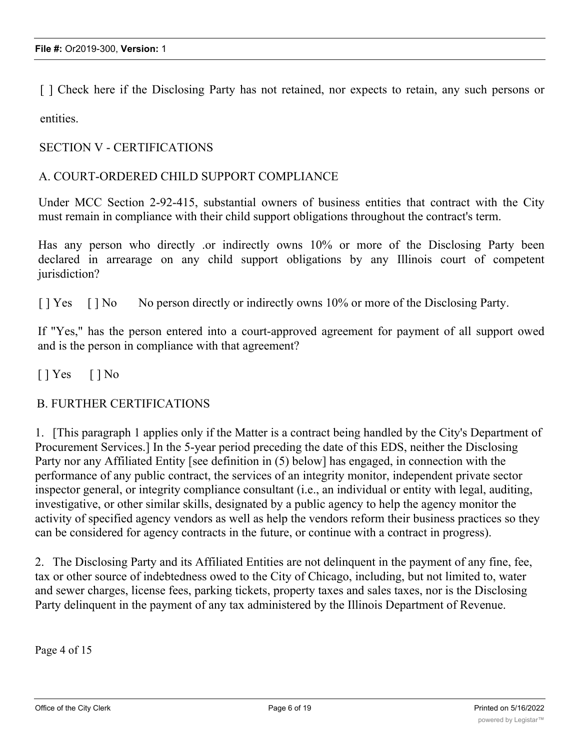[ ] Check here if the Disclosing Party has not retained, nor expects to retain, any such persons or entities.

#### SECTION V - CERTIFICATIONS

#### A. COURT-ORDERED CHILD SUPPORT COMPLIANCE

Under MCC Section 2-92-415, substantial owners of business entities that contract with the City must remain in compliance with their child support obligations throughout the contract's term.

Has any person who directly .or indirectly owns 10% or more of the Disclosing Party been declared in arrearage on any child support obligations by any Illinois court of competent jurisdiction?

[ ] Yes [ ] No No person directly or indirectly owns 10% or more of the Disclosing Party.

If "Yes," has the person entered into a court-approved agreement for payment of all support owed and is the person in compliance with that agreement?

 $[ ]$  Yes  $[ ]$  No

#### B. FURTHER CERTIFICATIONS

1. [This paragraph 1 applies only if the Matter is a contract being handled by the City's Department of Procurement Services.] In the 5-year period preceding the date of this EDS, neither the Disclosing Party nor any Affiliated Entity [see definition in (5) below] has engaged, in connection with the performance of any public contract, the services of an integrity monitor, independent private sector inspector general, or integrity compliance consultant (i.e., an individual or entity with legal, auditing, investigative, or other similar skills, designated by a public agency to help the agency monitor the activity of specified agency vendors as well as help the vendors reform their business practices so they can be considered for agency contracts in the future, or continue with a contract in progress).

2. The Disclosing Party and its Affiliated Entities are not delinquent in the payment of any fine, fee, tax or other source of indebtedness owed to the City of Chicago, including, but not limited to, water and sewer charges, license fees, parking tickets, property taxes and sales taxes, nor is the Disclosing Party delinquent in the payment of any tax administered by the Illinois Department of Revenue.

Page 4 of 15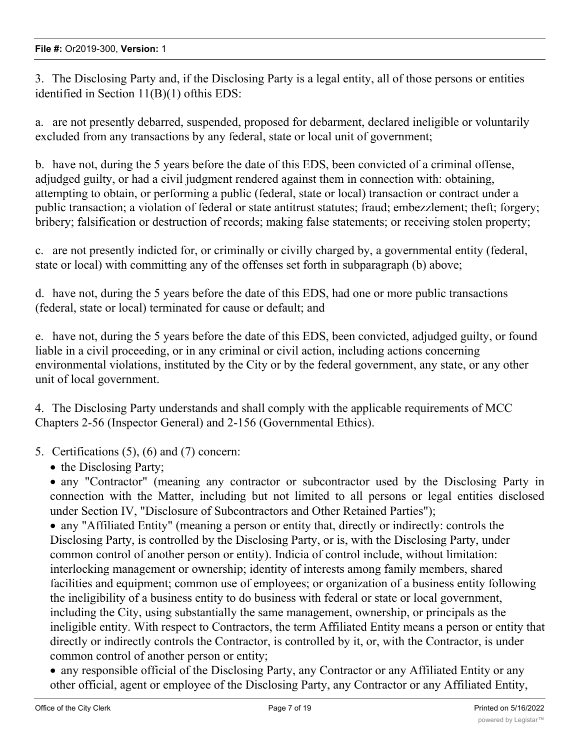3. The Disclosing Party and, if the Disclosing Party is a legal entity, all of those persons or entities identified in Section 11(B)(1) ofthis EDS:

a. are not presently debarred, suspended, proposed for debarment, declared ineligible or voluntarily excluded from any transactions by any federal, state or local unit of government;

b. have not, during the 5 years before the date of this EDS, been convicted of a criminal offense, adjudged guilty, or had a civil judgment rendered against them in connection with: obtaining, attempting to obtain, or performing a public (federal, state or local) transaction or contract under a public transaction; a violation of federal or state antitrust statutes; fraud; embezzlement; theft; forgery; bribery; falsification or destruction of records; making false statements; or receiving stolen property;

c. are not presently indicted for, or criminally or civilly charged by, a governmental entity (federal, state or local) with committing any of the offenses set forth in subparagraph (b) above;

d. have not, during the 5 years before the date of this EDS, had one or more public transactions (federal, state or local) terminated for cause or default; and

e. have not, during the 5 years before the date of this EDS, been convicted, adjudged guilty, or found liable in a civil proceeding, or in any criminal or civil action, including actions concerning environmental violations, instituted by the City or by the federal government, any state, or any other unit of local government.

4. The Disclosing Party understands and shall comply with the applicable requirements of MCC Chapters 2-56 (Inspector General) and 2-156 (Governmental Ethics).

5. Certifications (5), (6) and (7) concern:

• the Disclosing Party;

· any "Contractor" (meaning any contractor or subcontractor used by the Disclosing Party in connection with the Matter, including but not limited to all persons or legal entities disclosed under Section IV, "Disclosure of Subcontractors and Other Retained Parties");

· any "Affiliated Entity" (meaning a person or entity that, directly or indirectly: controls the Disclosing Party, is controlled by the Disclosing Party, or is, with the Disclosing Party, under common control of another person or entity). Indicia of control include, without limitation: interlocking management or ownership; identity of interests among family members, shared facilities and equipment; common use of employees; or organization of a business entity following the ineligibility of a business entity to do business with federal or state or local government, including the City, using substantially the same management, ownership, or principals as the ineligible entity. With respect to Contractors, the term Affiliated Entity means a person or entity that directly or indirectly controls the Contractor, is controlled by it, or, with the Contractor, is under common control of another person or entity;

· any responsible official of the Disclosing Party, any Contractor or any Affiliated Entity or any other official, agent or employee of the Disclosing Party, any Contractor or any Affiliated Entity,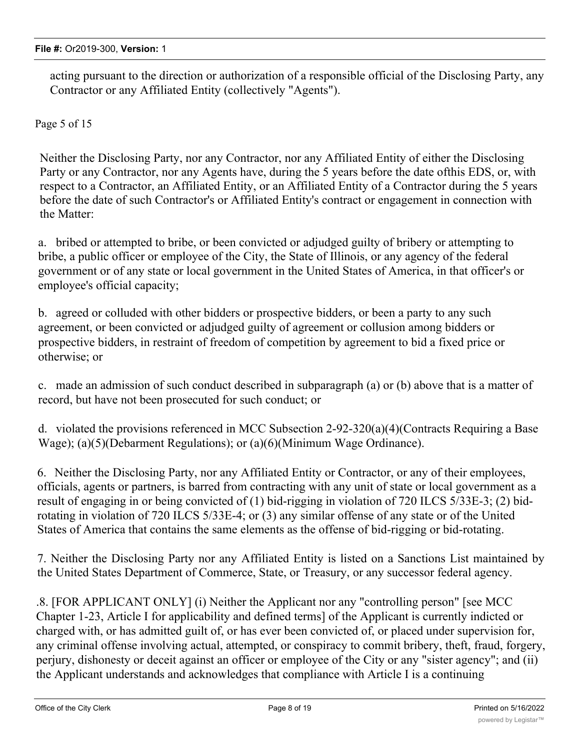acting pursuant to the direction or authorization of a responsible official of the Disclosing Party, any Contractor or any Affiliated Entity (collectively "Agents").

Page 5 of 15

Neither the Disclosing Party, nor any Contractor, nor any Affiliated Entity of either the Disclosing Party or any Contractor, nor any Agents have, during the 5 years before the date ofthis EDS, or, with respect to a Contractor, an Affiliated Entity, or an Affiliated Entity of a Contractor during the 5 years before the date of such Contractor's or Affiliated Entity's contract or engagement in connection with the Matter:

a. bribed or attempted to bribe, or been convicted or adjudged guilty of bribery or attempting to bribe, a public officer or employee of the City, the State of Illinois, or any agency of the federal government or of any state or local government in the United States of America, in that officer's or employee's official capacity;

b. agreed or colluded with other bidders or prospective bidders, or been a party to any such agreement, or been convicted or adjudged guilty of agreement or collusion among bidders or prospective bidders, in restraint of freedom of competition by agreement to bid a fixed price or otherwise; or

c. made an admission of such conduct described in subparagraph (a) or (b) above that is a matter of record, but have not been prosecuted for such conduct; or

d. violated the provisions referenced in MCC Subsection 2-92-320(a)(4)(Contracts Requiring a Base Wage); (a)(5)(Debarment Regulations); or (a)(6)(Minimum Wage Ordinance).

6. Neither the Disclosing Party, nor any Affiliated Entity or Contractor, or any of their employees, officials, agents or partners, is barred from contracting with any unit of state or local government as a result of engaging in or being convicted of (1) bid-rigging in violation of 720 ILCS 5/33E-3; (2) bidrotating in violation of 720 ILCS 5/33E-4; or (3) any similar offense of any state or of the United States of America that contains the same elements as the offense of bid-rigging or bid-rotating.

7. Neither the Disclosing Party nor any Affiliated Entity is listed on a Sanctions List maintained by the United States Department of Commerce, State, or Treasury, or any successor federal agency.

.8. [FOR APPLICANT ONLY] (i) Neither the Applicant nor any "controlling person" [see MCC Chapter 1-23, Article I for applicability and defined terms] of the Applicant is currently indicted or charged with, or has admitted guilt of, or has ever been convicted of, or placed under supervision for, any criminal offense involving actual, attempted, or conspiracy to commit bribery, theft, fraud, forgery, perjury, dishonesty or deceit against an officer or employee of the City or any "sister agency"; and (ii) the Applicant understands and acknowledges that compliance with Article I is a continuing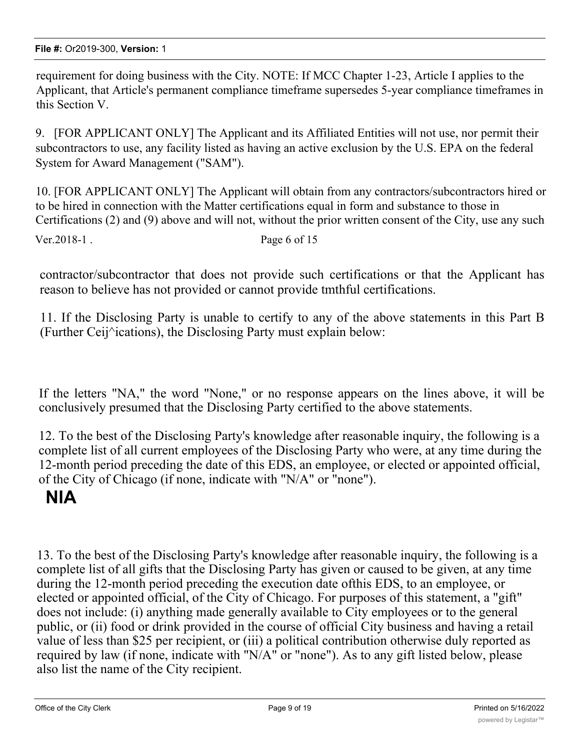requirement for doing business with the City. NOTE: If MCC Chapter 1-23, Article I applies to the Applicant, that Article's permanent compliance timeframe supersedes 5-year compliance timeframes in this Section V.

9. [FOR APPLICANT ONLY] The Applicant and its Affiliated Entities will not use, nor permit their subcontractors to use, any facility listed as having an active exclusion by the U.S. EPA on the federal System for Award Management ("SAM").

10. [FOR APPLICANT ONLY] The Applicant will obtain from any contractors/subcontractors hired or to be hired in connection with the Matter certifications equal in form and substance to those in Certifications (2) and (9) above and will not, without the prior written consent of the City, use any such Ver. 2018-1 . Page 6 of 15

contractor/subcontractor that does not provide such certifications or that the Applicant has reason to believe has not provided or cannot provide tmthful certifications.

11. If the Disclosing Party is unable to certify to any of the above statements in this Part B (Further Ceij^ications), the Disclosing Party must explain below:

If the letters "NA," the word "None," or no response appears on the lines above, it will be conclusively presumed that the Disclosing Party certified to the above statements.

12. To the best of the Disclosing Party's knowledge after reasonable inquiry, the following is a complete list of all current employees of the Disclosing Party who were, at any time during the 12-month period preceding the date of this EDS, an employee, or elected or appointed official, of the City of Chicago (if none, indicate with "N/A" or "none").

# **NlA**

13. To the best of the Disclosing Party's knowledge after reasonable inquiry, the following is a complete list of all gifts that the Disclosing Party has given or caused to be given, at any time during the 12-month period preceding the execution date ofthis EDS, to an employee, or elected or appointed official, of the City of Chicago. For purposes of this statement, a "gift" does not include: (i) anything made generally available to City employees or to the general public, or (ii) food or drink provided in the course of official City business and having a retail value of less than \$25 per recipient, or (iii) a political contribution otherwise duly reported as required by law (if none, indicate with "N/A" or "none"). As to any gift listed below, please also list the name of the City recipient.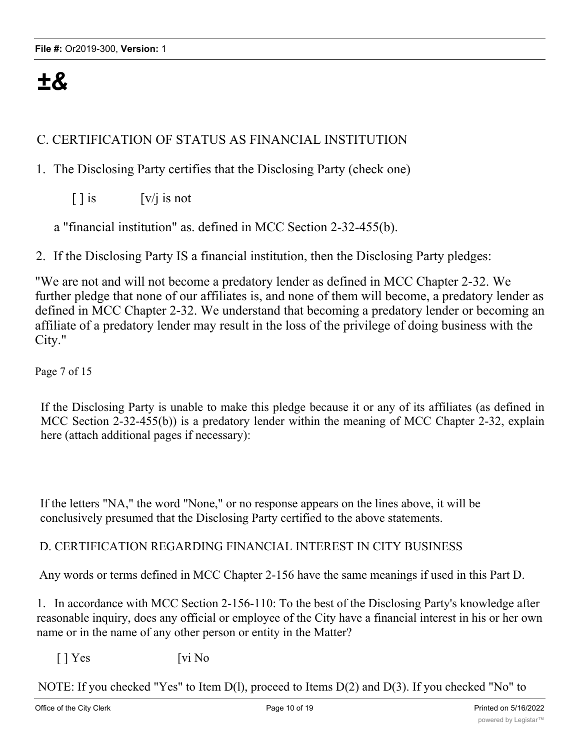# *±&*

# C. CERTIFICATION OF STATUS AS FINANCIAL INSTITUTION

# 1. The Disclosing Party certifies that the Disclosing Party (check one)

 $\lceil \cdot \rceil$  is  $\lfloor v / i \rfloor$  is not

a "financial institution" as. defined in MCC Section 2-32-455(b).

2. If the Disclosing Party IS a financial institution, then the Disclosing Party pledges:

"We are not and will not become a predatory lender as defined in MCC Chapter 2-32. We further pledge that none of our affiliates is, and none of them will become, a predatory lender as defined in MCC Chapter 2-32. We understand that becoming a predatory lender or becoming an affiliate of a predatory lender may result in the loss of the privilege of doing business with the City."

Page 7 of 15

If the Disclosing Party is unable to make this pledge because it or any of its affiliates (as defined in MCC Section 2-32-455(b)) is a predatory lender within the meaning of MCC Chapter 2-32, explain here (attach additional pages if necessary):

If the letters "NA," the word "None," or no response appears on the lines above, it will be conclusively presumed that the Disclosing Party certified to the above statements.

#### D. CERTIFICATION REGARDING FINANCIAL INTEREST IN CITY BUSINESS

Any words or terms defined in MCC Chapter 2-156 have the same meanings if used in this Part D.

1. In accordance with MCC Section 2-156-110: To the best of the Disclosing Party's knowledge after reasonable inquiry, does any official or employee of the City have a financial interest in his or her own name or in the name of any other person or entity in the Matter?

 $[ ]$  Yes  $[vi N<sub>0</sub>]$ 

NOTE: If you checked "Yes" to Item D(l), proceed to Items D(2) and D(3). If you checked "No" to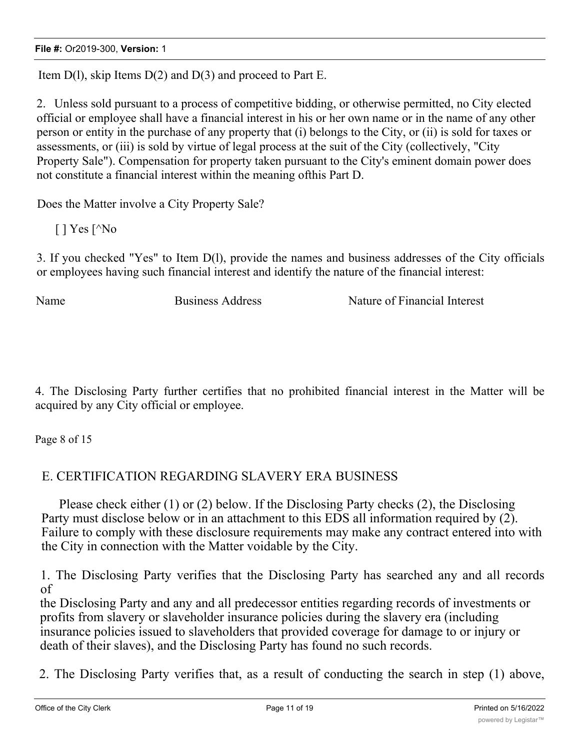Item  $D(1)$ , skip Items  $D(2)$  and  $D(3)$  and proceed to Part E.

2. Unless sold pursuant to a process of competitive bidding, or otherwise permitted, no City elected official or employee shall have a financial interest in his or her own name or in the name of any other person or entity in the purchase of any property that (i) belongs to the City, or (ii) is sold for taxes or assessments, or (iii) is sold by virtue of legal process at the suit of the City (collectively, "City Property Sale"). Compensation for property taken pursuant to the City's eminent domain power does not constitute a financial interest within the meaning ofthis Part D.

Does the Matter involve a City Property Sale?

 $[$  | Yes  $[$ <sup> $\wedge$ </sup>No

3. If you checked "Yes" to Item D(l), provide the names and business addresses of the City officials or employees having such financial interest and identify the nature of the financial interest:

Name Business Address Nature of Financial Interest

4. The Disclosing Party further certifies that no prohibited financial interest in the Matter will be acquired by any City official or employee.

Page 8 of 15

# E. CERTIFICATION REGARDING SLAVERY ERA BUSINESS

Please check either (1) or (2) below. If the Disclosing Party checks (2), the Disclosing Party must disclose below or in an attachment to this EDS all information required by (2). Failure to comply with these disclosure requirements may make any contract entered into with the City in connection with the Matter voidable by the City.

1. The Disclosing Party verifies that the Disclosing Party has searched any and all records of

the Disclosing Party and any and all predecessor entities regarding records of investments or profits from slavery or slaveholder insurance policies during the slavery era (including insurance policies issued to slaveholders that provided coverage for damage to or injury or death of their slaves), and the Disclosing Party has found no such records.

2. The Disclosing Party verifies that, as a result of conducting the search in step (1) above,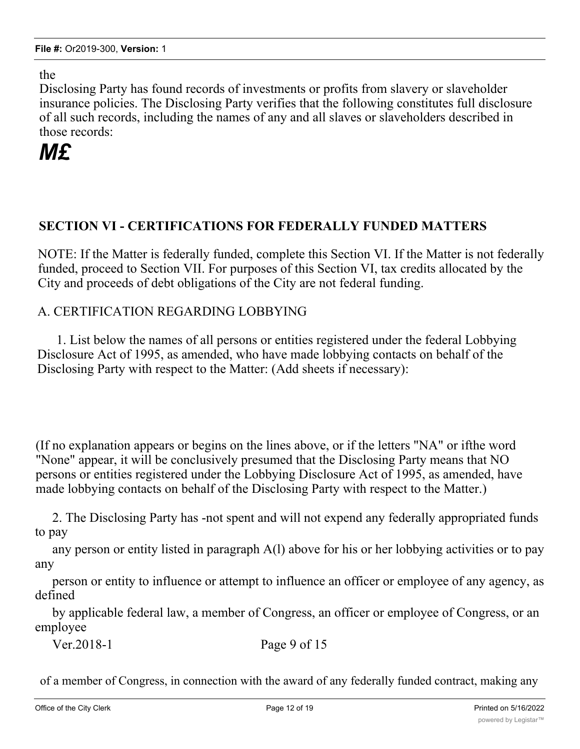the

Disclosing Party has found records of investments or profits from slavery or slaveholder insurance policies. The Disclosing Party verifies that the following constitutes full disclosure of all such records, including the names of any and all slaves or slaveholders described in those records:

# *M£*

# **SECTION VI - CERTIFICATIONS FOR FEDERALLY FUNDED MATTERS**

NOTE: If the Matter is federally funded, complete this Section VI. If the Matter is not federally funded, proceed to Section VII. For purposes of this Section VI, tax credits allocated by the City and proceeds of debt obligations of the City are not federal funding.

# A. CERTIFICATION REGARDING LOBBYING

1. List below the names of all persons or entities registered under the federal Lobbying Disclosure Act of 1995, as amended, who have made lobbying contacts on behalf of the Disclosing Party with respect to the Matter: (Add sheets if necessary):

(If no explanation appears or begins on the lines above, or if the letters "NA" or ifthe word "None" appear, it will be conclusively presumed that the Disclosing Party means that NO persons or entities registered under the Lobbying Disclosure Act of 1995, as amended, have made lobbying contacts on behalf of the Disclosing Party with respect to the Matter.)

2. The Disclosing Party has -not spent and will not expend any federally appropriated funds to pay

any person or entity listed in paragraph A(l) above for his or her lobbying activities or to pay any

person or entity to influence or attempt to influence an officer or employee of any agency, as defined

by applicable federal law, a member of Congress, an officer or employee of Congress, or an employee

Ver.2018-1 Page 9 of 15

of a member of Congress, in connection with the award of any federally funded contract, making any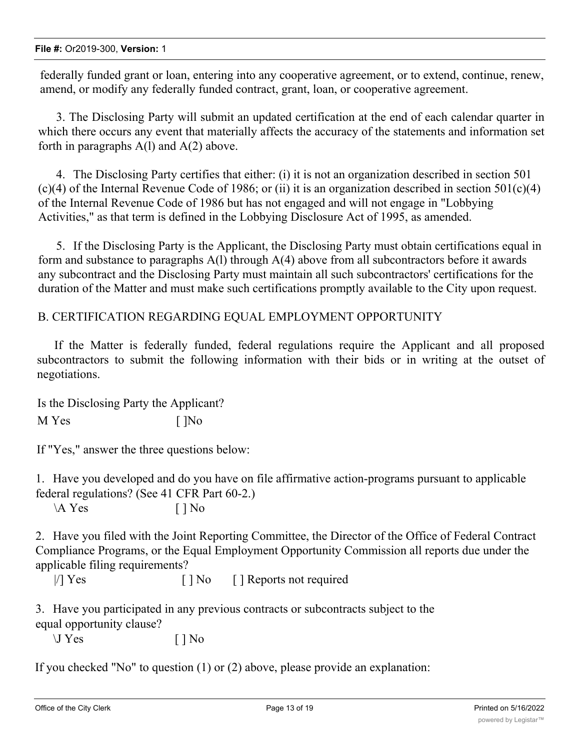federally funded grant or loan, entering into any cooperative agreement, or to extend, continue, renew, amend, or modify any federally funded contract, grant, loan, or cooperative agreement.

3. The Disclosing Party will submit an updated certification at the end of each calendar quarter in which there occurs any event that materially affects the accuracy of the statements and information set forth in paragraphs A(l) and A(2) above.

4. The Disclosing Party certifies that either: (i) it is not an organization described in section 501 (c)(4) of the Internal Revenue Code of 1986; or (ii) it is an organization described in section  $501(c)(4)$ of the Internal Revenue Code of 1986 but has not engaged and will not engage in "Lobbying Activities," as that term is defined in the Lobbying Disclosure Act of 1995, as amended.

5. If the Disclosing Party is the Applicant, the Disclosing Party must obtain certifications equal in form and substance to paragraphs  $A(1)$  through  $A(4)$  above from all subcontractors before it awards any subcontract and the Disclosing Party must maintain all such subcontractors' certifications for the duration of the Matter and must make such certifications promptly available to the City upon request.

B. CERTIFICATION REGARDING EQUAL EMPLOYMENT OPPORTUNITY

If the Matter is federally funded, federal regulations require the Applicant and all proposed subcontractors to submit the following information with their bids or in writing at the outset of negotiations.

Is the Disclosing Party the Applicant? M Yes [ ]No

If "Yes," answer the three questions below:

1. Have you developed and do you have on file affirmative action-programs pursuant to applicable federal regulations? (See 41 CFR Part 60-2.)

 $\mathbf{A} \text{Yes}$  [ ] No

2. Have you filed with the Joint Reporting Committee, the Director of the Office of Federal Contract Compliance Programs, or the Equal Employment Opportunity Commission all reports due under the applicable filing requirements?

|/| Yes  $\lceil \cdot \rceil$  No  $\lceil \cdot \rceil$  Reports not required

3. Have you participated in any previous contracts or subcontracts subject to the equal opportunity clause?

 $\bigcup$  Yes  $[ ]$  No

If you checked "No" to question (1) or (2) above, please provide an explanation: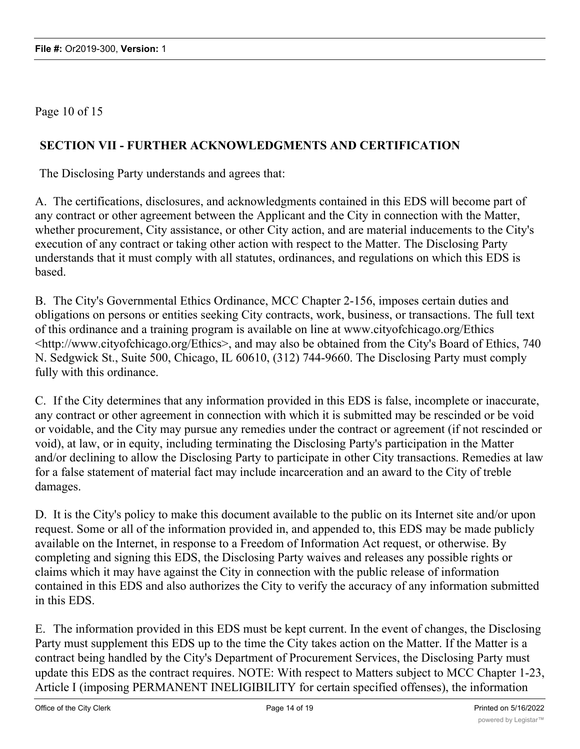Page 10 of 15

# **SECTION VII - FURTHER ACKNOWLEDGMENTS AND CERTIFICATION**

The Disclosing Party understands and agrees that:

A. The certifications, disclosures, and acknowledgments contained in this EDS will become part of any contract or other agreement between the Applicant and the City in connection with the Matter, whether procurement, City assistance, or other City action, and are material inducements to the City's execution of any contract or taking other action with respect to the Matter. The Disclosing Party understands that it must comply with all statutes, ordinances, and regulations on which this EDS is based.

B. The City's Governmental Ethics Ordinance, MCC Chapter 2-156, imposes certain duties and obligations on persons or entities seeking City contracts, work, business, or transactions. The full text of this ordinance and a training program is available on line at www.cityofchicago.org/Ethics <http://www.cityofchicago.org/Ethics>, and may also be obtained from the City's Board of Ethics, 740 N. Sedgwick St., Suite 500, Chicago, IL 60610, (312) 744-9660. The Disclosing Party must comply fully with this ordinance.

C. If the City determines that any information provided in this EDS is false, incomplete or inaccurate, any contract or other agreement in connection with which it is submitted may be rescinded or be void or voidable, and the City may pursue any remedies under the contract or agreement (if not rescinded or void), at law, or in equity, including terminating the Disclosing Party's participation in the Matter and/or declining to allow the Disclosing Party to participate in other City transactions. Remedies at law for a false statement of material fact may include incarceration and an award to the City of treble damages.

D. It is the City's policy to make this document available to the public on its Internet site and/or upon request. Some or all of the information provided in, and appended to, this EDS may be made publicly available on the Internet, in response to a Freedom of Information Act request, or otherwise. By completing and signing this EDS, the Disclosing Party waives and releases any possible rights or claims which it may have against the City in connection with the public release of information contained in this EDS and also authorizes the City to verify the accuracy of any information submitted in this EDS.

E. The information provided in this EDS must be kept current. In the event of changes, the Disclosing Party must supplement this EDS up to the time the City takes action on the Matter. If the Matter is a contract being handled by the City's Department of Procurement Services, the Disclosing Party must update this EDS as the contract requires. NOTE: With respect to Matters subject to MCC Chapter 1-23, Article I (imposing PERMANENT INELIGIBILITY for certain specified offenses), the information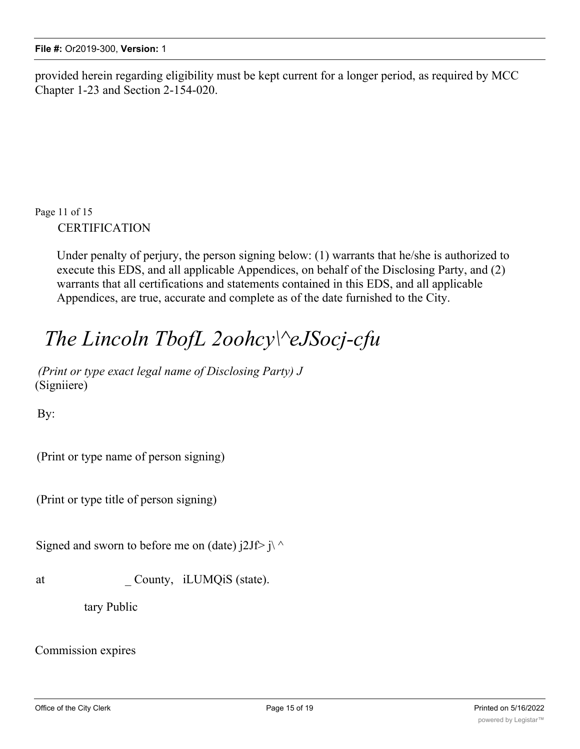provided herein regarding eligibility must be kept current for a longer period, as required by MCC Chapter 1-23 and Section 2-154-020.

Page 11 of 15 CERTIFICATION

> Under penalty of perjury, the person signing below: (1) warrants that he/she is authorized to execute this EDS, and all applicable Appendices, on behalf of the Disclosing Party, and (2) warrants that all certifications and statements contained in this EDS, and all applicable Appendices, are true, accurate and complete as of the date furnished to the City.

# *The Lincoln TbofL 2oohcy\^eJSocj-cfu*

*(Print or type exact legal name of Disclosing Party) J* (Signiiere)

By:

(Print or type name of person signing)

(Print or type title of person signing)

Signed and sworn to before me on (date)  $j2Jf > j \land j$ 

at County, iLUMQiS (state).

tary Public

Commission expires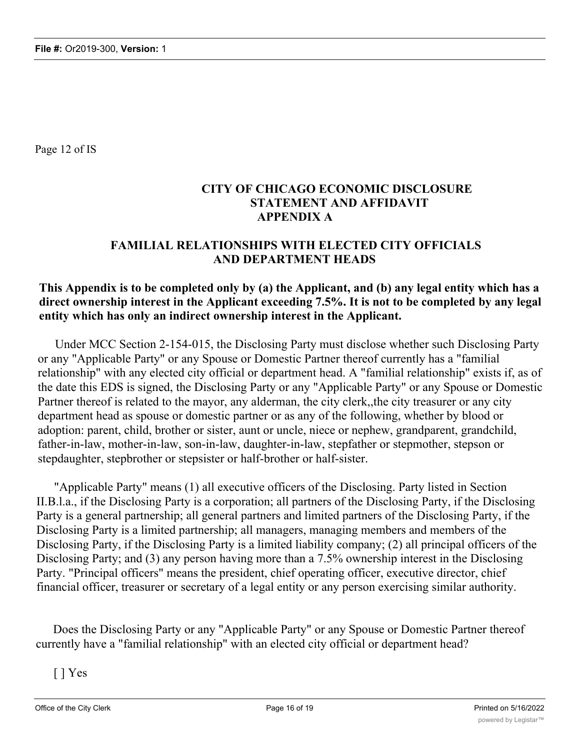Page 12 of IS

# **CITY OF CHICAGO ECONOMIC DISCLOSURE STATEMENT AND AFFIDAVIT APPENDIX A**

# **FAMILIAL RELATIONSHIPS WITH ELECTED CITY OFFICIALS AND DEPARTMENT HEADS**

#### **This Appendix is to be completed only by (a) the Applicant, and (b) any legal entity which has a direct ownership interest in the Applicant exceeding 7.5%. It is not to be completed by any legal entity which has only an indirect ownership interest in the Applicant.**

Under MCC Section 2-154-015, the Disclosing Party must disclose whether such Disclosing Party or any "Applicable Party" or any Spouse or Domestic Partner thereof currently has a "familial relationship" with any elected city official or department head. A "familial relationship" exists if, as of the date this EDS is signed, the Disclosing Party or any "Applicable Party" or any Spouse or Domestic Partner thereof is related to the mayor, any alderman, the city clerk,,the city treasurer or any city department head as spouse or domestic partner or as any of the following, whether by blood or adoption: parent, child, brother or sister, aunt or uncle, niece or nephew, grandparent, grandchild, father-in-law, mother-in-law, son-in-law, daughter-in-law, stepfather or stepmother, stepson or stepdaughter, stepbrother or stepsister or half-brother or half-sister.

"Applicable Party" means (1) all executive officers of the Disclosing. Party listed in Section II.B.l.a., if the Disclosing Party is a corporation; all partners of the Disclosing Party, if the Disclosing Party is a general partnership; all general partners and limited partners of the Disclosing Party, if the Disclosing Party is a limited partnership; all managers, managing members and members of the Disclosing Party, if the Disclosing Party is a limited liability company; (2) all principal officers of the Disclosing Party; and (3) any person having more than a 7.5% ownership interest in the Disclosing Party. "Principal officers" means the president, chief operating officer, executive director, chief financial officer, treasurer or secretary of a legal entity or any person exercising similar authority.

Does the Disclosing Party or any "Applicable Party" or any Spouse or Domestic Partner thereof currently have a "familial relationship" with an elected city official or department head?

[ ] Yes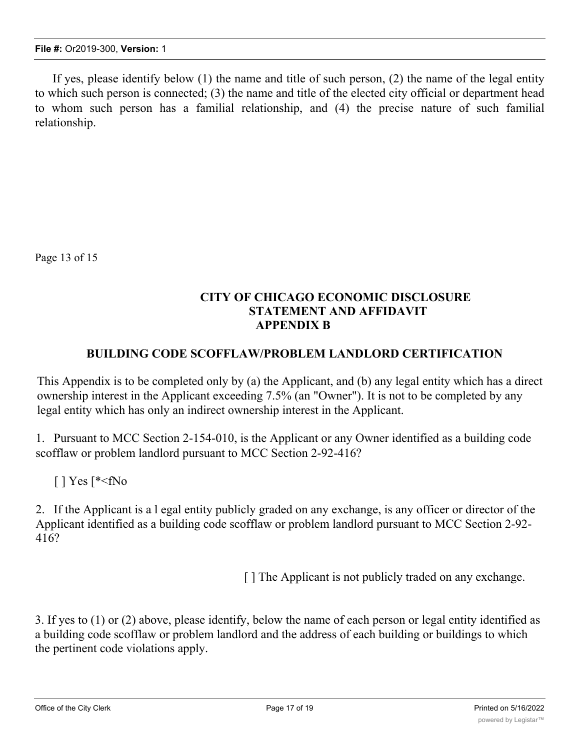If yes, please identify below (1) the name and title of such person, (2) the name of the legal entity to which such person is connected; (3) the name and title of the elected city official or department head to whom such person has a familial relationship, and (4) the precise nature of such familial relationship.

Page 13 of 15

# **CITY OF CHICAGO ECONOMIC DISCLOSURE STATEMENT AND AFFIDAVIT APPENDIX B**

#### **BUILDING CODE SCOFFLAW/PROBLEM LANDLORD CERTIFICATION**

This Appendix is to be completed only by (a) the Applicant, and (b) any legal entity which has a direct ownership interest in the Applicant exceeding 7.5% (an "Owner"). It is not to be completed by any legal entity which has only an indirect ownership interest in the Applicant.

1. Pursuant to MCC Section 2-154-010, is the Applicant or any Owner identified as a building code scofflaw or problem landlord pursuant to MCC Section 2-92-416?

 $[$  | Yes  $[^*$ 

2. If the Applicant is a l egal entity publicly graded on any exchange, is any officer or director of the Applicant identified as a building code scofflaw or problem landlord pursuant to MCC Section 2-92- 416?

[] The Applicant is not publicly traded on any exchange.

3. If yes to (1) or (2) above, please identify, below the name of each person or legal entity identified as a building code scofflaw or problem landlord and the address of each building or buildings to which the pertinent code violations apply.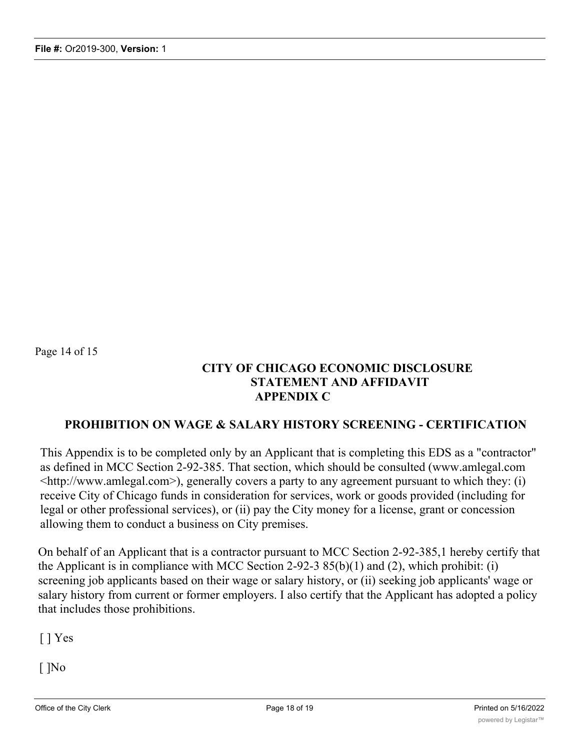Page 14 of 15

# **CITY OF CHICAGO ECONOMIC DISCLOSURE STATEMENT AND AFFIDAVIT APPENDIX C**

### **PROHIBITION ON WAGE & SALARY HISTORY SCREENING - CERTIFICATION**

This Appendix is to be completed only by an Applicant that is completing this EDS as a "contractor" as defined in MCC Section 2-92-385. That section, which should be consulted (www.amlegal.com <http://www.amlegal.com>), generally covers a party to any agreement pursuant to which they: (i) receive City of Chicago funds in consideration for services, work or goods provided (including for legal or other professional services), or (ii) pay the City money for a license, grant or concession allowing them to conduct a business on City premises.

On behalf of an Applicant that is a contractor pursuant to MCC Section 2-92-385,1 hereby certify that the Applicant is in compliance with MCC Section 2-92-3  $85(b)(1)$  and (2), which prohibit: (i) screening job applicants based on their wage or salary history, or (ii) seeking job applicants' wage or salary history from current or former employers. I also certify that the Applicant has adopted a policy that includes those prohibitions.

[ ] Yes

[ ]No